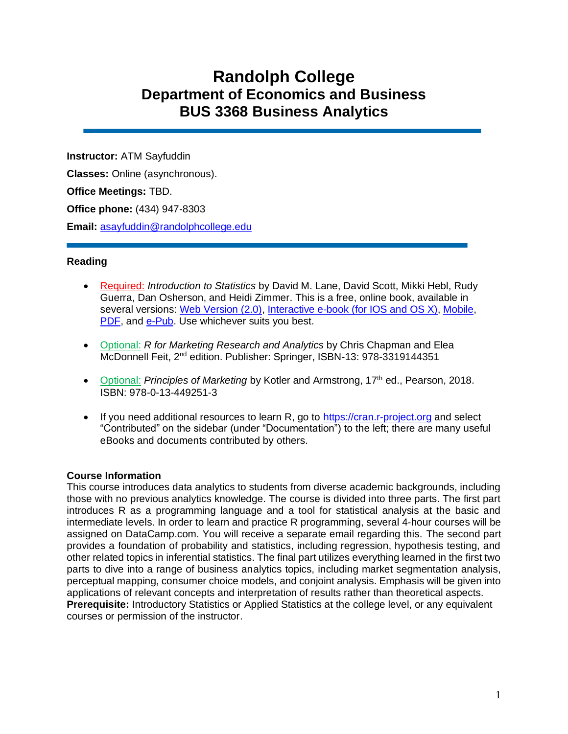# **Randolph College Department of Economics and Business BUS 3368 Business Analytics**

**Instructor:** ATM Sayfuddin **Classes:** Online (asynchronous). **Office Meetings:** TBD. **Office phone:** (434) 947-8303 **Email:** [asayfuddin@randolphcollege.edu](mailto:asayfuddin@randolphcollege.edu)

## **Reading**

- Required: *Introduction to Statistics* by David M. Lane, David Scott, Mikki Hebl, Rudy Guerra, Dan Osherson, and Heidi Zimmer. This is a free, online book, available in several versions: [Web Version \(2.0\),](http://onlinestatbook.com/2/index.html) [Interactive e-book \(for IOS and OS X\),](https://itunes.apple.com/us/book/introduction-to-statistics/id684001500?mt=11) [Mobile,](http://onlinestatbook.com/mobile/index.html) [PDF,](http://onlinestatbook.com/Online_Statistics_Education.pdf) and [e-Pub.](http://onlinestatbook.com/Online_Statistics_Education.epub) Use whichever suits you best.
- Optional: *R for Marketing Research and Analytics* by Chris Chapman and Elea McDonnell Feit, 2<sup>nd</sup> edition. Publisher: Springer, ISBN-13: 978-3319144351
- Optional: *Principles of Marketing* by Kotler and Armstrong, 17<sup>th</sup> ed., Pearson, 2018. ISBN: 978-0-13-449251-3
- If you need additional resources to learn R, go to [https://cran.r-project.org](https://cran.r-project.org/) and select "Contributed" on the sidebar (under "Documentation") to the left; there are many useful eBooks and documents contributed by others.

#### **Course Information**

This course introduces data analytics to students from diverse academic backgrounds, including those with no previous analytics knowledge. The course is divided into three parts. The first part introduces R as a programming language and a tool for statistical analysis at the basic and intermediate levels. In order to learn and practice R programming, several 4-hour courses will be assigned on DataCamp.com. You will receive a separate email regarding this. The second part provides a foundation of probability and statistics, including regression, hypothesis testing, and other related topics in inferential statistics. The final part utilizes everything learned in the first two parts to dive into a range of business analytics topics, including market segmentation analysis, perceptual mapping, consumer choice models, and conjoint analysis. Emphasis will be given into applications of relevant concepts and interpretation of results rather than theoretical aspects. **Prerequisite:** Introductory Statistics or Applied Statistics at the college level, or any equivalent courses or permission of the instructor.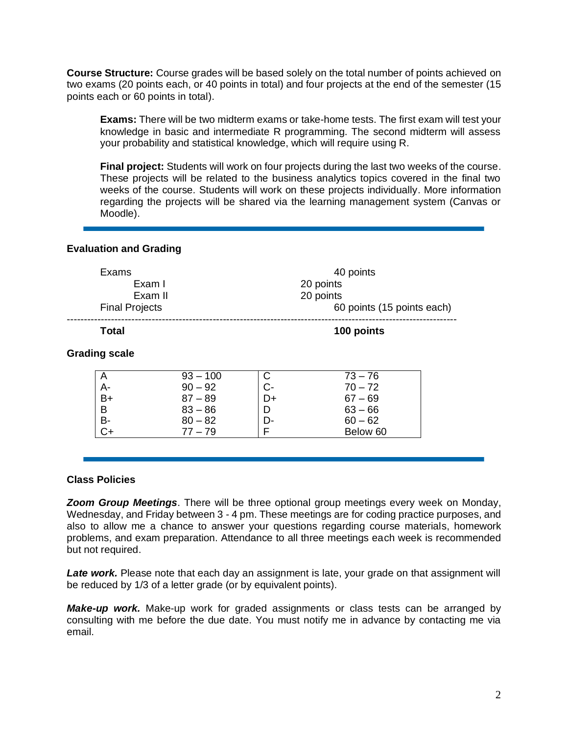**Course Structure:** Course grades will be based solely on the total number of points achieved on two exams (20 points each, or 40 points in total) and four projects at the end of the semester (15 points each or 60 points in total).

**Exams:** There will be two midterm exams or take-home tests. The first exam will test your knowledge in basic and intermediate R programming. The second midterm will assess your probability and statistical knowledge, which will require using R.

**Final project:** Students will work on four projects during the last two weeks of the course. These projects will be related to the business analytics topics covered in the final two weeks of the course. Students will work on these projects individually. More information regarding the projects will be shared via the learning management system (Canvas or Moodle).

## **Evaluation and Grading**

| Exams                | Exam I<br>Exam II<br><b>Final Projects</b> |         | 40 points<br>20 points<br>20 points<br>60 points (15 points each) |  |  |  |
|----------------------|--------------------------------------------|---------|-------------------------------------------------------------------|--|--|--|
| Total                |                                            |         | 100 points                                                        |  |  |  |
| <b>Grading scale</b> |                                            |         |                                                                   |  |  |  |
| A<br>А-              | $93 - 100$<br>$90 - 92$                    | С<br>C- | $73 - 76$<br>$70 - 72$                                            |  |  |  |
| B+                   | $87 - 89$                                  | D+      | $67 - 69$                                                         |  |  |  |
| B                    | $83 - 86$                                  | D       | $63 - 66$                                                         |  |  |  |
| B-                   | $80 - 82$                                  | D-      | $60 - 62$                                                         |  |  |  |
| C+                   | $77 - 79$                                  | F       | Below 60                                                          |  |  |  |

#### **Class Policies**

*Zoom Group Meetings*. There will be three optional group meetings every week on Monday, Wednesday, and Friday between 3 - 4 pm. These meetings are for coding practice purposes, and also to allow me a chance to answer your questions regarding course materials, homework problems, and exam preparation. Attendance to all three meetings each week is recommended but not required.

**Late work.** Please note that each day an assignment is late, your grade on that assignment will be reduced by 1/3 of a letter grade (or by equivalent points).

*Make-up work.* Make-up work for graded assignments or class tests can be arranged by consulting with me before the due date. You must notify me in advance by contacting me via email.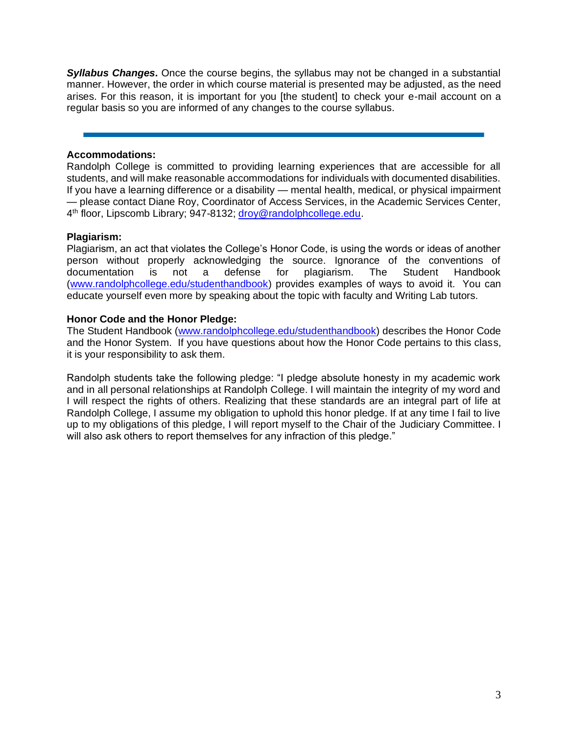*Syllabus Changes.* Once the course begins, the syllabus may not be changed in a substantial manner. However, the order in which course material is presented may be adjusted, as the need arises. For this reason, it is important for you [the student] to check your e-mail account on a regular basis so you are informed of any changes to the course syllabus.

## **Accommodations:**

Randolph College is committed to providing learning experiences that are accessible for all students, and will make reasonable accommodations for individuals with documented disabilities. If you have a learning difference or a disability — mental health, medical, or physical impairment — please contact Diane Roy, Coordinator of Access Services, in the Academic Services Center, 4<sup>th</sup> floor, Lipscomb Library; 947-8132; [droy@randolphcollege.edu.](mailto:droy@randolphcollege.edu)

## **Plagiarism:**

Plagiarism, an act that violates the College's Honor Code, is using the words or ideas of another person without properly acknowledging the source. Ignorance of the conventions of documentation is not a defense for plagiarism. The Student Handbook [\(www.randolphcollege.edu/studenthandbook\)](http://www.randolphcollege.edu/studenthandbook) provides examples of ways to avoid it. You can educate yourself even more by speaking about the topic with faculty and Writing Lab tutors.

## **Honor Code and the Honor Pledge:**

The Student Handbook [\(www.randolphcollege.edu/studenthandbook\)](http://www.randolphcollege.edu/studenthandbook) describes the Honor Code and the Honor System. If you have questions about how the Honor Code pertains to this class, it is your responsibility to ask them.

Randolph students take the following pledge: "I pledge absolute honesty in my academic work and in all personal relationships at Randolph College. I will maintain the integrity of my word and I will respect the rights of others. Realizing that these standards are an integral part of life at Randolph College, I assume my obligation to uphold this honor pledge. If at any time I fail to live up to my obligations of this pledge, I will report myself to the Chair of the Judiciary Committee. I will also ask others to report themselves for any infraction of this pledge."